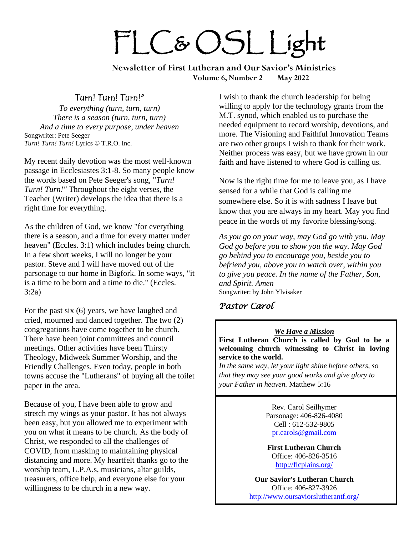FLC& OSL Light

**Newsletter of First Lutheran and Our Savior's Ministries Volume 6, Number 2 May 2022**

#### Turn! Turn! Turn!"

*To everything (turn, turn, turn) There is a season (turn, turn, turn) And a time to every purpose, under heaven* Songwriter: Pete Seeger *Turn! Turn! Turn!* Lyrics © T.R.O. Inc.

My recent daily devotion was the most well-known passage in Ecclesiastes 3:1-8. So many people know the words based on Pete Seeger's song, "*Turn! Turn! Turn!"* Throughout the eight verses, the Teacher (Writer) develops the idea that there is a right time for everything.

As the children of God, we know "for everything there is a season, and a time for every matter under heaven" (Eccles. 3:1) which includes being church. In a few short weeks, I will no longer be your pastor. Steve and I will have moved out of the parsonage to our home in Bigfork. In some ways, "it is a time to be born and a time to die." (Eccles. 3:2a)

For the past six (6) years, we have laughed and cried, mourned and danced together. The two (2) congregations have come together to be church. There have been joint committees and council meetings. Other activities have been Thirsty Theology, Midweek Summer Worship, and the Friendly Challenges. Even today, people in both towns accuse the "Lutherans" of buying all the toilet paper in the area.

Because of you, I have been able to grow and stretch my wings as your pastor. It has not always been easy, but you allowed me to experiment with you on what it means to be church. As the body of Christ, we responded to all the challenges of COVID, from masking to maintaining physical distancing and more. My heartfelt thanks go to the worship team, L.P.A.s, musicians, altar guilds, treasurers, office help, and everyone else for your willingness to be church in a new way.

I wish to thank the church leadership for being willing to apply for the technology grants from the M.T. synod, which enabled us to purchase the needed equipment to record worship, devotions, and more. The Visioning and Faithful Innovation Teams are two other groups I wish to thank for their work. Neither process was easy, but we have grown in our faith and have listened to where God is calling us.

Now is the right time for me to leave you, as I have sensed for a while that God is calling me somewhere else. So it is with sadness I leave but know that you are always in my heart. May you find peace in the words of my favorite blessing/song.

*As you go on your way, may God go with you. May God go before you to show you the way. May God go behind you to encourage you, beside you to befriend you, above you to watch over, within you to give you peace. In the name of the Father, Son, and Spirit. Amen* Songwriter: by John Ylvisaker

#### *Pastor Carol*

#### *We Have a Mission*

**First Lutheran Church is called by God to be a welcoming church witnessing to Christ in loving service to the world.**

*In the same way, let your light shine before others, so that they may see your good works and give glory to your Father in heaven.* Matthew 5:16

> Rev. Carol Seilhymer Parsonage: 406-826-4080 Cell : 612-532-9805 [pr.carols@gmail.com](mailto:pr.carols@gmail.com)

**First Lutheran Church** Office: 406-826-3516 <http://flcplains.org/>

**Our Savior's Lutheran Church** Office: 406-827-3926 [http://www.oursaviorslutherantf.org](http://www.oursaviorslutherantf.org/)**/**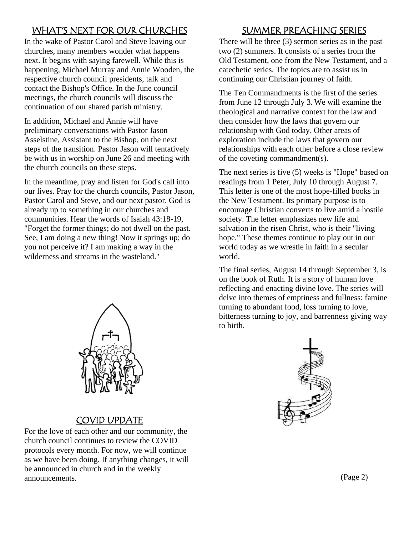# WHAT'S NEXT FOR OUR CHURCHES

In the wake of Pastor Carol and Steve leaving our churches, many members wonder what happens next. It begins with saying farewell. While this is happening, Michael Murray and Annie Wooden, the respective church council presidents, talk and contact the Bishop's Office. In the June council meetings, the church councils will discuss the continuation of our shared parish ministry.

In addition, Michael and Annie will have preliminary conversations with Pastor Jason Asselstine, Assistant to the Bishop, on the next steps of the transition. Pastor Jason will tentatively be with us in worship on June 26 and meeting with the church councils on these steps.

In the meantime, pray and listen for God's call into our lives. Pray for the church councils, Pastor Jason, Pastor Carol and Steve, and our next pastor. God is already up to something in our churches and communities. Hear the words of Isaiah 43:18-19, "Forget the former things; do not dwell on the past. See, I am doing a new thing! Now it springs up; do you not perceive it? I am making a way in the wilderness and streams in the wasteland."



#### COVID UPDATE

For the love of each other and our community, the church council continues to review the COVID protocols every month. For now, we will continue as we have been doing. If anything changes, it will be announced in church and in the weekly announcements.

### SUMMER PREACHING SERIES

There will be three (3) sermon series as in the past two (2) summers. It consists of a series from the Old Testament, one from the New Testament, and a catechetic series. The topics are to assist us in continuing our Christian journey of faith.

The Ten Commandments is the first of the series from June 12 through July 3. We will examine the theological and narrative context for the law and then consider how the laws that govern our relationship with God today. Other areas of exploration include the laws that govern our relationships with each other before a close review of the coveting commandment(s).

The next series is five (5) weeks is "Hope" based on readings from 1 Peter, July 10 through August 7. This letter is one of the most hope-filled books in the New Testament. Its primary purpose is to encourage Christian converts to live amid a hostile society. The letter emphasizes new life and salvation in the risen Christ, who is their "living hope." These themes continue to play out in our world today as we wrestle in faith in a secular world.

The final series, August 14 through September 3, is on the book of Ruth. It is a story of human love reflecting and enacting divine love. The series will delve into themes of emptiness and fullness: famine turning to abundant food, loss turning to love, bitterness turning to joy, and barrenness giving way to birth.



(Page 2)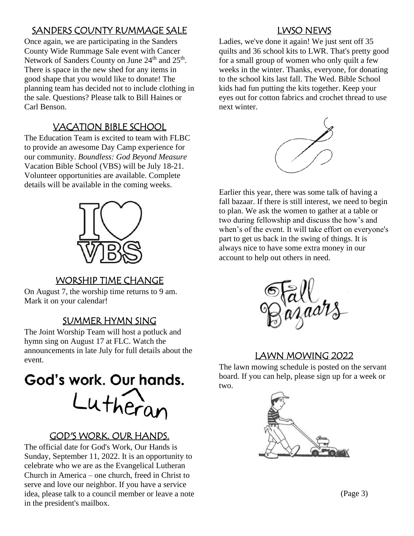# SANDERS COUNTY RUMMAGE SALE

Once again, we are participating in the Sanders County Wide Rummage Sale event with Cancer Network of Sanders County on June 24<sup>th</sup> and 25<sup>th</sup>. There is space in the new shed for any items in good shape that you would like to donate! The planning team has decided not to include clothing in the sale. Questions? Please talk to Bill Haines or Carl Benson.

# VACATION BIBLE SCHOOL

The Education Team is excited to team with FLBC to provide an awesome Day Camp experience for our community. *Boundless: God Beyond Measure* Vacation Bible School (VBS) will be July 18-21. Volunteer opportunities are available. Complete details will be available in the coming weeks.



## WORSHIP TIME CHANGE

On August 7, the worship time returns to 9 am. Mark it on your calendar!

### SUMMER HYMN SING

The Joint Worship Team will host a potluck and hymn sing on August 17 at FLC. Watch the announcements in late July for full details about the event.



## GOD'S WORK. OUR HANDS.

The official date for God's Work, Our Hands is Sunday, September 11, 2022. It is an opportunity to celebrate who we are as the Evangelical Lutheran Church in America – one church, freed in Christ to serve and love our neighbor. If you have a service idea, please talk to a council member or leave a note in the president's mailbox.

### LWSO NEWS

Ladies, we've done it again! We just sent off 35 quilts and 36 school kits to LWR. That's pretty good for a small group of women who only quilt a few weeks in the winter. Thanks, everyone, for donating to the school kits last fall. The Wed. Bible School kids had fun putting the kits together. Keep your eyes out for cotton fabrics and crochet thread to use next winter.



Earlier this year, there was some talk of having a fall bazaar. If there is still interest, we need to begin to plan. We ask the women to gather at a table or two during fellowship and discuss the how's and when's of the event. It will take effort on everyone's part to get us back in the swing of things. It is always nice to have some extra money in our account to help out others in need.



### LAWN MOWING 2022

The lawn mowing schedule is posted on the servant board. If you can help, please sign up for a week or two.